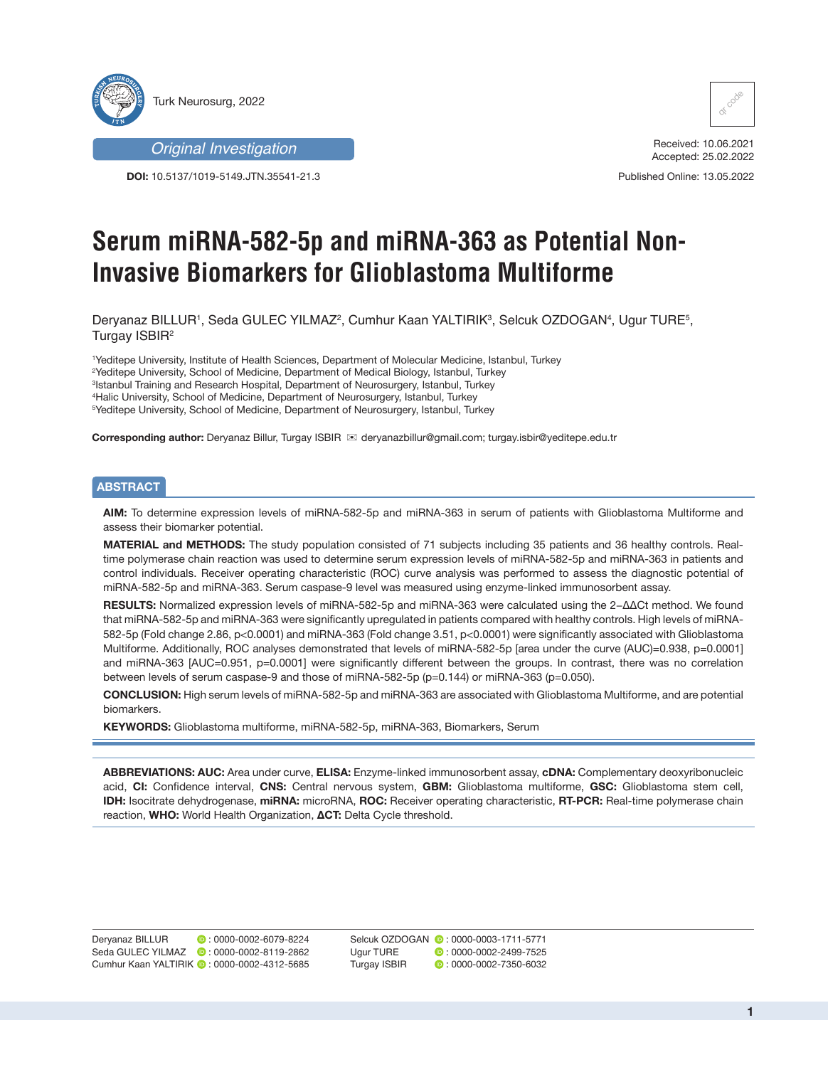

*Original Investigation*

**DOI:** 10.5137/1019-5149.JTN.35541-21.3



Received: 10.06.2021 Accepted: 25.02.2022

Published Online: 13.05.2022

# **Serum miRNA-582-5p and miRNA-363 as Potential Non-Invasive Biomarkers for Glioblastoma Multiforme**

Deryanaz BILLUR', Seda GULEC YILMAZ<sup>2</sup>, Cumhur Kaan YALTIRIK<sup>3</sup>, Selcuk OZDOGAN<sup>4</sup>, Ugur TURE<sup>5</sup>, Turgay ISBIR2

 Yeditepe University, Institute of Health Sciences, Department of Molecular Medicine, Istanbul, Turkey Yeditepe University, School of Medicine, Department of Medical Biology, Istanbul, Turkey Istanbul Training and Research Hospital, Department of Neurosurgery, Istanbul, Turkey Halic University, School of Medicine, Department of Neurosurgery, Istanbul, Turkey Yeditepe University, School of Medicine, Department of Neurosurgery, Istanbul, Turkey

**Corresponding author:** Deryanaz Billur, Turgay ISBIR deryanazbillur@gmail.com; turgay.isbir@yeditepe.edu.tr

# **ABSTRACT**

**AIM:** To determine expression levels of miRNA-582-5p and miRNA-363 in serum of patients with Glioblastoma Multiforme and assess their biomarker potential.

**MATERIAL and METHODS:** The study population consisted of 71 subjects including 35 patients and 36 healthy controls. Realtime polymerase chain reaction was used to determine serum expression levels of miRNA-582-5p and miRNA-363 in patients and control individuals. Receiver operating characteristic (ROC) curve analysis was performed to assess the diagnostic potential of miRNA-582-5p and miRNA-363. Serum caspase-9 level was measured using enzyme-linked immunosorbent assay.

**RESULTS:** Normalized expression levels of miRNA-582-5p and miRNA-363 were calculated using the 2−ΔΔCt method. We found that miRNA-582-5p and miRNA-363 were significantly upregulated in patients compared with healthy controls. High levels of miRNA-582-5p (Fold change 2.86, p<0.0001) and miRNA-363 (Fold change 3.51, p<0.0001) were significantly associated with Glioblastoma Multiforme. Additionally, ROC analyses demonstrated that levels of miRNA-582-5p [area under the curve (AUC)=0.938, p=0.0001] and miRNA-363 [AUC=0.951, p=0.0001] were significantly different between the groups. In contrast, there was no correlation between levels of serum caspase-9 and those of miRNA-582-5p (p=0.144) or miRNA-363 (p=0.050).

**CONCLUSION:** High serum levels of miRNA-582-5p and miRNA-363 are associated with Glioblastoma Multiforme, and are potential biomarkers.

**KEYWORDS:** Glioblastoma multiforme, miRNA-582-5p, miRNA-363, Biomarkers, Serum

**ABBREVIATIONS: AUC:** Area under curve, **ELISA:** Enzyme-linked immunosorbent assay, **cDNA:** Complementary deoxyribonucleic acid, **CI:** Confidence interval, **CNS:** Central nervous system, **GBM:** Glioblastoma multiforme, **GSC:** Glioblastoma stem cell, **IDH:** Isocitrate dehydrogenase, **miRNA:** microRNA, **ROC:** Receiver operating characteristic, **RT-PCR:** Real-time polymerase chain reaction, **WHO:** World Health Organization, **ΔCT:** Delta Cycle threshold.

Deryanaz BILLUR **D**: 0000-0002-6079-8224 Seda GULEC YILMAZ **: 0000-0002-8119-2862** Cumhur Kaan YALTIRIK **D**: 0000-0002-4312-5685

SelcukOZDOGAN  $\bullet$  : 0000-0003-1711-5771 UgurTURE **:** 0000-0002-2499-7525 Turgay ISBIR: 0000-0002-7350-6032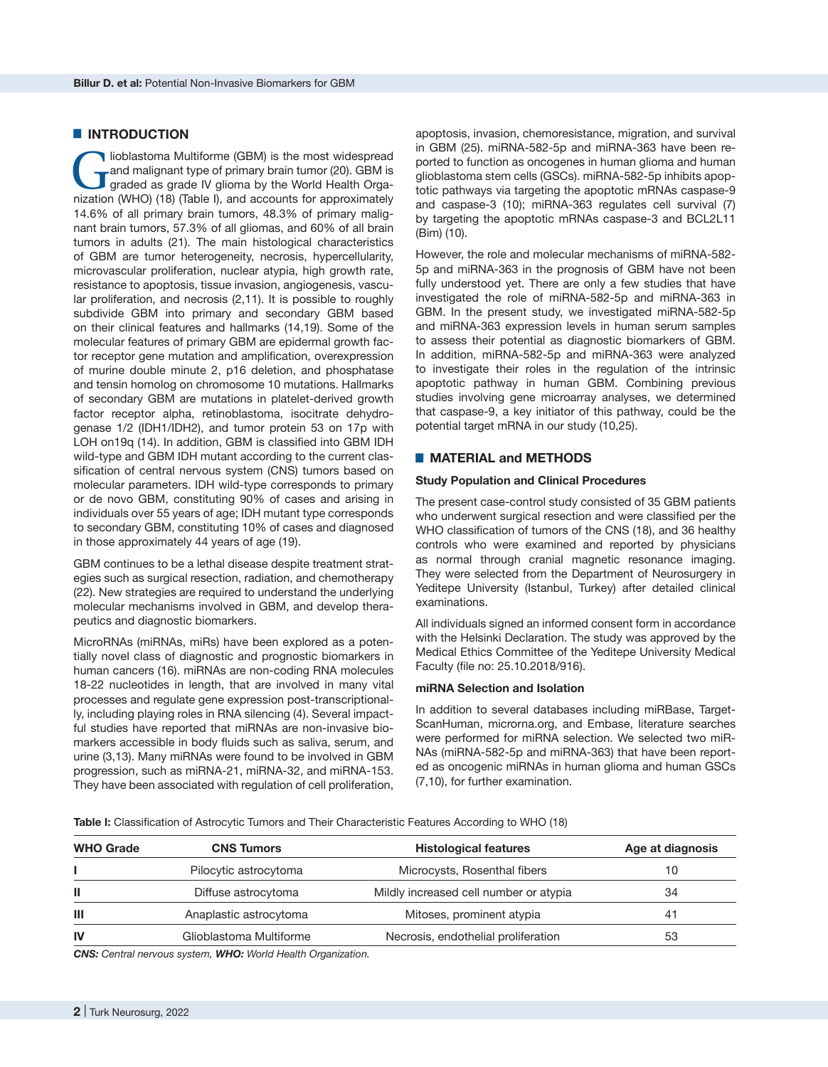## $\blacksquare$  **INTRODUCTION**

Ioblastoma Multiforme (GBM) is the most widespread<br>
and malignant type of primary brain tumor (20). GBM is<br>
graded as grade IV glioma by the World Health Orga-<br>
pization (WHO) (18) (Table I) and accounts for approximately and malignant type of primary brain tumor (20). GBM is nization (WHO) (18) (Table I), and accounts for approximately 14.6% of all primary brain tumors, 48.3% of primary malignant brain tumors, 57.3% of all gliomas, and 60% of all brain tumors in adults (21). The main histological characteristics of GBM are tumor heterogeneity, necrosis, hypercellularity, microvascular proliferation, nuclear atypia, high growth rate, resistance to apoptosis, tissue invasion, angiogenesis, vascular proliferation, and necrosis (2,11). It is possible to roughly subdivide GBM into primary and secondary GBM based on their clinical features and hallmarks (14,19). Some of the molecular features of primary GBM are epidermal growth factor receptor gene mutation and amplification, overexpression of murine double minute 2, p16 deletion, and phosphatase and tensin homolog on chromosome 10 mutations. Hallmarks of secondary GBM are mutations in platelet-derived growth factor receptor alpha, retinoblastoma, isocitrate dehydrogenase 1/2 (IDH1/IDH2), and tumor protein 53 on 17p with LOH on19q (14). In addition, GBM is classified into GBM IDH wild-type and GBM IDH mutant according to the current classification of central nervous system (CNS) tumors based on molecular parameters. IDH wild-type corresponds to primary or de novo GBM, constituting 90% of cases and arising in individuals over 55 years of age; IDH mutant type corresponds to secondary GBM, constituting 10% of cases and diagnosed in those approximately 44 years of age (19).

GBM continues to be a lethal disease despite treatment strategies such as surgical resection, radiation, and chemotherapy (22). New strategies are required to understand the underlying molecular mechanisms involved in GBM, and develop therapeutics and diagnostic biomarkers.

MicroRNAs (miRNAs, miRs) have been explored as a potentially novel class of diagnostic and prognostic biomarkers in human cancers (16). miRNAs are non-coding RNA molecules 18-22 nucleotides in length, that are involved in many vital processes and regulate gene expression post-transcriptionally, including playing roles in RNA silencing (4). Several impactful studies have reported that miRNAs are non-invasive biomarkers accessible in body fluids such as saliva, serum, and urine (3,13). Many miRNAs were found to be involved in GBM progression, such as miRNA-21, miRNA-32, and miRNA-153. They have been associated with regulation of cell proliferation,

apoptosis, invasion, chemoresistance, migration, and survival in GBM (25). miRNA-582-5p and miRNA-363 have been reported to function as oncogenes in human glioma and human glioblastoma stem cells (GSCs). miRNA-582-5p inhibits apoptotic pathways via targeting the apoptotic mRNAs caspase-9 and caspase-3 (10); miRNA-363 regulates cell survival (7) by targeting the apoptotic mRNAs caspase-3 and BCL2L11 (Bim) (10).

However, the role and molecular mechanisms of miRNA-582- 5p and miRNA-363 in the prognosis of GBM have not been fully understood yet. There are only a few studies that have investigated the role of miRNA-582-5p and miRNA-363 in GBM. In the present study, we investigated miRNA-582-5p and miRNA-363 expression levels in human serum samples to assess their potential as diagnostic biomarkers of GBM. In addition, miRNA-582-5p and miRNA-363 were analyzed to investigate their roles in the regulation of the intrinsic apoptotic pathway in human GBM. Combining previous studies involving gene microarray analyses, we determined that caspase-9, a key initiator of this pathway, could be the potential target mRNA in our study (10,25).

## █ **MATERIAL and METHODS**

#### **Study Population and Clinical Procedures**

The present case-control study consisted of 35 GBM patients who underwent surgical resection and were classified per the WHO classification of tumors of the CNS (18), and 36 healthy controls who were examined and reported by physicians as normal through cranial magnetic resonance imaging. They were selected from the Department of Neurosurgery in Yeditepe University (Istanbul, Turkey) after detailed clinical examinations.

All individuals signed an informed consent form in accordance with the Helsinki Declaration. The study was approved by the Medical Ethics Committee of the Yeditepe University Medical Faculty (file no: 25.10.2018/916).

## **miRNA Selection and Isolation**

In addition to several databases including miRBase, Target-ScanHuman, microrna.org, and Embase, literature searches were performed for miRNA selection. We selected two miR-NAs (miRNA-582-5p and miRNA-363) that have been reported as oncogenic miRNAs in human glioma and human GSCs (7,10), for further examination.

**Table I:** Classification of Astrocytic Tumors and Their Characteristic Features According to WHO (18)

| <b>WHO Grade</b><br><b>CNS Tumors</b> |                         | <b>Histological features</b>           | Age at diagnosis |  |
|---------------------------------------|-------------------------|----------------------------------------|------------------|--|
|                                       | Pilocytic astrocytoma   | Microcysts, Rosenthal fibers           | 10               |  |
|                                       | Diffuse astrocytoma     | Mildly increased cell number or atypia | 34               |  |
| Ш                                     | Anaplastic astrocytoma  | Mitoses, prominent atypia              | 41               |  |
| IV                                    | Glioblastoma Multiforme | Necrosis, endothelial proliferation    | 53               |  |
|                                       |                         |                                        |                  |  |

*CNS: Central nervous system, WHO: World Health Organization.*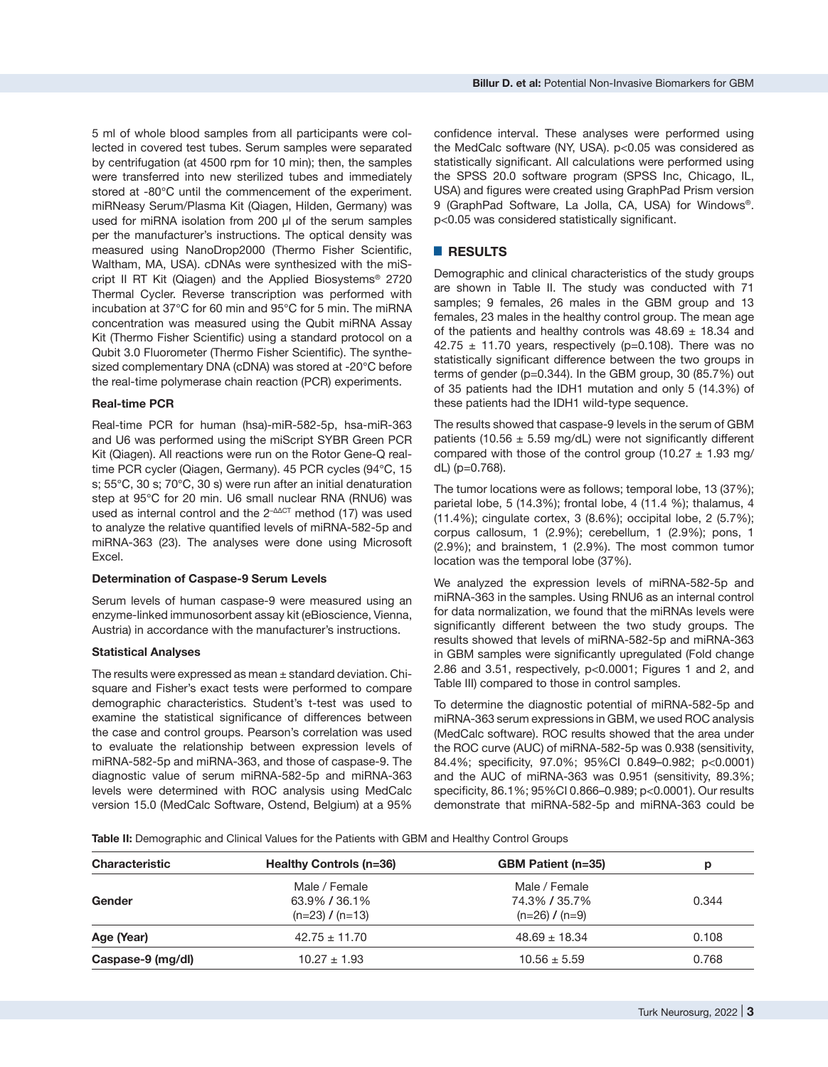5 ml of whole blood samples from all participants were collected in covered test tubes. Serum samples were separated by centrifugation (at 4500 rpm for 10 min); then, the samples were transferred into new sterilized tubes and immediately stored at -80°C until the commencement of the experiment. miRNeasy Serum/Plasma Kit (Qiagen, Hilden, Germany) was used for miRNA isolation from 200 μl of the serum samples per the manufacturer's instructions. The optical density was measured using NanoDrop2000 (Thermo Fisher Scientific, Waltham, MA, USA). cDNAs were synthesized with the miScript II RT Kit (Qiagen) and the Applied Biosystems® 2720 Thermal Cycler. Reverse transcription was performed with incubation at 37℃ for 60 min and 95℃ for 5 min. The miRNA concentration was measured using the Qubit miRNA Assay Kit (Thermo Fisher Scientific) using a standard protocol on a Qubit 3.0 Fluorometer (Thermo Fisher Scientific). The synthesized complementary DNA (cDNA) was stored at -20℃ before the real-time polymerase chain reaction (PCR) experiments.

#### **Real-time PCR**

Real-time PCR for human (hsa)-miR-582-5p, hsa-miR-363 and U6 was performed using the miScript SYBR Green PCR Kit (Qiagen). All reactions were run on the Rotor Gene-Q realtime PCR cycler (Qiagen, Germany). 45 PCR cycles (94℃, 15 s; 55℃, 30 s; 70℃, 30 s) were run after an initial denaturation step at 95℃ for 20 min. U6 small nuclear RNA (RNU6) was used as internal control and the 2<sup>-ΔΔCT</sup> method (17) was used to analyze the relative quantified levels of miRNA-582-5p and miRNA-363 (23). The analyses were done using Microsoft Excel.

#### **Determination of Caspase-9 Serum Levels**

Serum levels of human caspase-9 were measured using an enzyme-linked immunosorbent assay kit (eBioscience, Vienna, Austria) in accordance with the manufacturer's instructions.

#### **Statistical Analyses**

The results were expressed as mean ± standard deviation. Chisquare and Fisher's exact tests were performed to compare demographic characteristics. Student's t-test was used to examine the statistical significance of differences between the case and control groups. Pearson's correlation was used to evaluate the relationship between expression levels of miRNA-582-5p and miRNA-363, and those of caspase-9. The diagnostic value of serum miRNA-582-5p and miRNA-363 levels were determined with ROC analysis using MedCalc version 15.0 (MedCalc Software, Ostend, Belgium) at a 95%

confidence interval. These analyses were performed using the MedCalc software (NY, USA). p<0.05 was considered as statistically significant. All calculations were performed using the SPSS 20.0 software program (SPSS Inc, Chicago, IL, USA) and figures were created using GraphPad Prism version 9 (GraphPad Software, La Jolla, CA, USA) for Windows®. p<0.05 was considered statistically significant.

## █ **RESULTS**

Demographic and clinical characteristics of the study groups are shown in Table II. The study was conducted with 71 samples; 9 females, 26 males in the GBM group and 13 females, 23 males in the healthy control group. The mean age of the patients and healthy controls was  $48.69 \pm 18.34$  and 42.75  $\pm$  11.70 years, respectively (p=0.108). There was no statistically significant difference between the two groups in terms of gender (p=0.344). In the GBM group, 30 (85.7%) out of 35 patients had the IDH1 mutation and only 5 (14.3%) of these patients had the IDH1 wild-type sequence.

The results showed that caspase-9 levels in the serum of GBM patients (10.56  $\pm$  5.59 mg/dL) were not significantly different compared with those of the control group (10.27  $\pm$  1.93 mg/ dL) (p=0.768).

The tumor locations were as follows; temporal lobe, 13 (37%); parietal lobe, 5 (14.3%); frontal lobe, 4 (11.4 %); thalamus, 4 (11.4%); cingulate cortex, 3 (8.6%); occipital lobe, 2 (5.7%); corpus callosum, 1 (2.9%); cerebellum, 1 (2.9%); pons, 1 (2.9%); and brainstem, 1 (2.9%). The most common tumor location was the temporal lobe (37%).

We analyzed the expression levels of miRNA-582-5p and miRNA-363 in the samples. Using RNU6 as an internal control for data normalization, we found that the miRNAs levels were significantly different between the two study groups. The results showed that levels of miRNA-582-5p and miRNA-363 in GBM samples were significantly upregulated (Fold change 2.86 and 3.51, respectively, p<0.0001; Figures 1 and 2, and Table III) compared to those in control samples.

To determine the diagnostic potential of miRNA-582-5p and miRNA-363 serum expressions in GBM, we used ROC analysis (MedCalc software). ROC results showed that the area under the ROC curve (AUC) of miRNA-582-5p was 0.938 (sensitivity, 84.4%; specificity, 97.0%; 95%CI 0.849–0.982; p<0.0001) and the AUC of miRNA-363 was 0.951 (sensitivity, 89.3%; specificity, 86.1%; 95%CI 0.866–0.989; p<0.0001). Our results demonstrate that miRNA-582-5p and miRNA-363 could be

**Table II:** Demographic and Clinical Values for the Patients with GBM and Healthy Control Groups

| <b>Characteristic</b> | Healthy Controls (n=36) | <b>GBM Patient (n=35)</b> | р     |  |
|-----------------------|-------------------------|---------------------------|-------|--|
|                       | Male / Female           | Male / Female             |       |  |
| Gender                | 63.9% / 36.1%           | 74.3% / 35.7%             | 0.344 |  |
|                       | $(n=23)$ / $(n=13)$     | $(n=26)$ / $(n=9)$        |       |  |
| Age (Year)            | $42.75 \pm 11.70$       | $48.69 \pm 18.34$         | 0.108 |  |
| Caspase-9 (mg/dl)     | $10.27 \pm 1.93$        | $10.56 \pm 5.59$          | 0.768 |  |
|                       |                         |                           |       |  |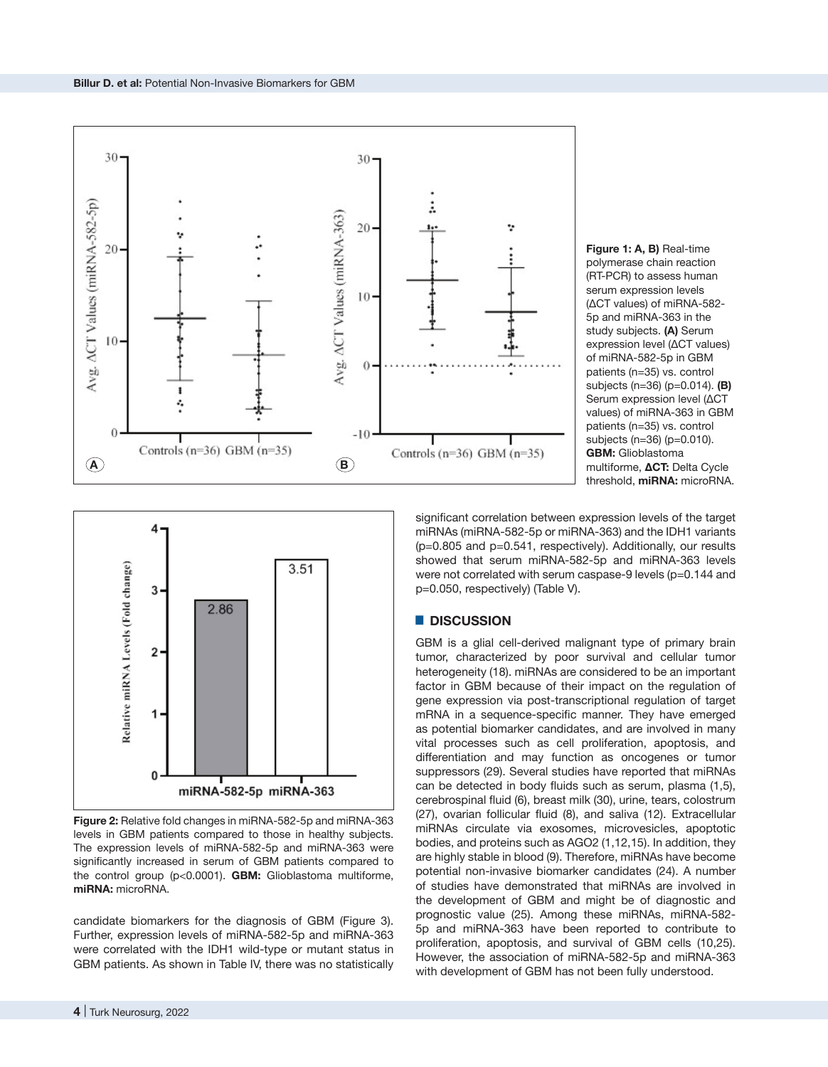

**Figure 1: A, B)** Real-time polymerase chain reaction (RT-PCR) to assess human serum expression levels (ΔCT values) of miRNA-582- 5p and miRNA-363 in the study subjects. **(A)** Serum expression level (ΔCT values) of miRNA-582-5p in GBM patients (n=35) vs. control subjects (n=36) (p=0.014). **(B)**  Serum expression level (ΔCT values) of miRNA-363 in GBM patients (n=35) vs. control subjects (n=36) (p=0.010). **GBM:** Glioblastoma multiforme, **ΔCT:** Delta Cycle threshold, **miRNA:** microRNA.



**Figure 2:** Relative fold changes in miRNA-582-5p and miRNA-363 levels in GBM patients compared to those in healthy subjects. The expression levels of miRNA-582-5p and miRNA-363 were significantly increased in serum of GBM patients compared to the control group (p<0.0001). **GBM:** Glioblastoma multiforme, **miRNA:** microRNA.

candidate biomarkers for the diagnosis of GBM (Figure 3). Further, expression levels of miRNA-582-5p and miRNA-363 were correlated with the IDH1 wild-type or mutant status in GBM patients. As shown in Table IV, there was no statistically

significant correlation between expression levels of the target miRNAs (miRNA-582-5p or miRNA-363) and the IDH1 variants (p=0.805 and p=0.541, respectively). Additionally, our results showed that serum miRNA-582-5p and miRNA-363 levels were not correlated with serum caspase-9 levels (p=0.144 and p=0.050, respectively) (Table V).

# █ **DISCUSSION**

GBM is a glial cell-derived malignant type of primary brain tumor, characterized by poor survival and cellular tumor heterogeneity (18). miRNAs are considered to be an important factor in GBM because of their impact on the regulation of gene expression via post-transcriptional regulation of target mRNA in a sequence-specific manner. They have emerged as potential biomarker candidates, and are involved in many vital processes such as cell proliferation, apoptosis, and differentiation and may function as oncogenes or tumor suppressors (29). Several studies have reported that miRNAs can be detected in body fluids such as serum, plasma (1,5), cerebrospinal fluid (6), breast milk (30), urine, tears, colostrum (27), ovarian follicular fluid (8), and saliva (12). Extracellular miRNAs circulate via exosomes, microvesicles, apoptotic bodies, and proteins such as AGO2 (1,12,15). In addition, they are highly stable in blood (9). Therefore, miRNAs have become potential non-invasive biomarker candidates (24). A number of studies have demonstrated that miRNAs are involved in the development of GBM and might be of diagnostic and prognostic value (25). Among these miRNAs, miRNA-582- 5p and miRNA-363 have been reported to contribute to proliferation, apoptosis, and survival of GBM cells (10,25). However, the association of miRNA-582-5p and miRNA-363 with development of GBM has not been fully understood.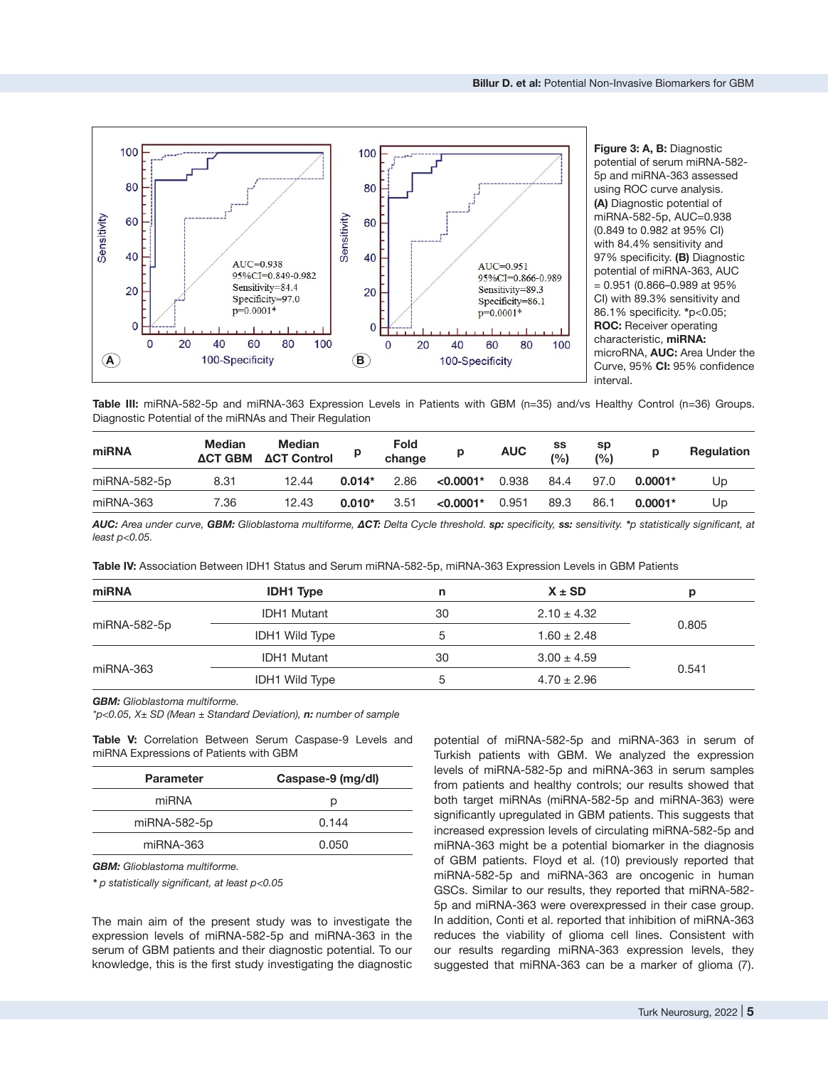

**Figure 3: A, B:** Diagnostic potential of serum miRNA-582- 5p and miRNA-363 assessed using ROC curve analysis. **(A)** Diagnostic potential of miRNA-582-5p, AUC=0.938 (0.849 to 0.982 at 95% CI) with 84.4% sensitivity and 97% specificity. **(B)** Diagnostic potential of miRNA-363, AUC  $= 0.951$  (0.866–0.989 at 95% CI) with 89.3% sensitivity and 86.1% specificity. **\***p<0.05; **ROC:** Receiver operating characteristic, **miRNA:** microRNA, **AUC:** Area Under the Curve, 95% **CI:** 95% confidence interval.

**Table III:** miRNA-582-5p and miRNA-363 Expression Levels in Patients with GBM (n=35) and/vs Healthy Control (n=36) Groups. Diagnostic Potential of the miRNAs and Their Regulation

| miRNA        | <b>Median</b><br><b>ACT GBM</b> | <b>Median</b><br><b>ACT Control</b> |          | <b>Fold</b><br>change |             | <b>AUC</b> | SS<br>(%) | sp<br>(%) | р         | <b>Regulation</b> |
|--------------|---------------------------------|-------------------------------------|----------|-----------------------|-------------|------------|-----------|-----------|-----------|-------------------|
| miRNA-582-5p | 8.31                            | 12.44                               | $0.014*$ | 2.86                  | $< 0.0001*$ | 0.938      | 84.4      | 97.0      | $0.0001*$ | Up                |
| miRNA-363    | 7.36                            | 12.43                               | $0.010*$ | 3.51                  | $< 0.0001*$ | 0.951      | 89.3      | 86.1      | $0.0001*$ | Up                |

AUC: Area under curve, GBM: Glioblastoma multiforme, ACT: Delta Cycle threshold. sp: specificity, ss: sensitivity. \*p statistically significant, at *least p<0.05.*

**Table IV:** Association Between IDH1 Status and Serum miRNA-582-5p, miRNA-363 Expression Levels in GBM Patients

| miRNA        | <b>IDH1 Type</b>      | n  | $X \pm SD$      | р     |  |
|--------------|-----------------------|----|-----------------|-------|--|
|              | <b>IDH1 Mutant</b>    | 30 | $2.10 \pm 4.32$ |       |  |
| miRNA-582-5p | <b>IDH1 Wild Type</b> |    | $1.60 \pm 2.48$ | 0.805 |  |
|              | IDH1 Mutant           | 30 | $3.00 \pm 4.59$ |       |  |
| miRNA-363    | <b>IDH1</b> Wild Type | 5  | $4.70 \pm 2.96$ | 0.541 |  |

*GBM: Glioblastoma multiforme.*

*\*p<0.05, X± SD (Mean ± Standard Deviation), n: number of sample*

**Table V:** Correlation Between Serum Caspase-9 Levels and miRNA Expressions of Patients with GBM

| <b>Parameter</b> | Caspase-9 (mg/dl) |
|------------------|-------------------|
| miRNA            | р                 |
| miRNA-582-5p     | 0.144             |
| miRNA-363        | 0.050             |

*GBM: Glioblastoma multiforme.*

*\* p statistically significant, at least p<0.05*

The main aim of the present study was to investigate the expression levels of miRNA-582-5p and miRNA-363 in the serum of GBM patients and their diagnostic potential. To our knowledge, this is the first study investigating the diagnostic

potential of miRNA-582-5p and miRNA-363 in serum of Turkish patients with GBM. We analyzed the expression levels of miRNA-582-5p and miRNA-363 in serum samples from patients and healthy controls; our results showed that both target miRNAs (miRNA-582-5p and miRNA-363) were significantly upregulated in GBM patients. This suggests that increased expression levels of circulating miRNA-582-5p and miRNA-363 might be a potential biomarker in the diagnosis of GBM patients. Floyd et al. (10) previously reported that miRNA-582-5p and miRNA-363 are oncogenic in human GSCs. Similar to our results, they reported that miRNA-582- 5p and miRNA-363 were overexpressed in their case group. In addition, Conti et al. reported that inhibition of miRNA-363 reduces the viability of glioma cell lines. Consistent with our results regarding miRNA-363 expression levels, they suggested that miRNA-363 can be a marker of glioma (7).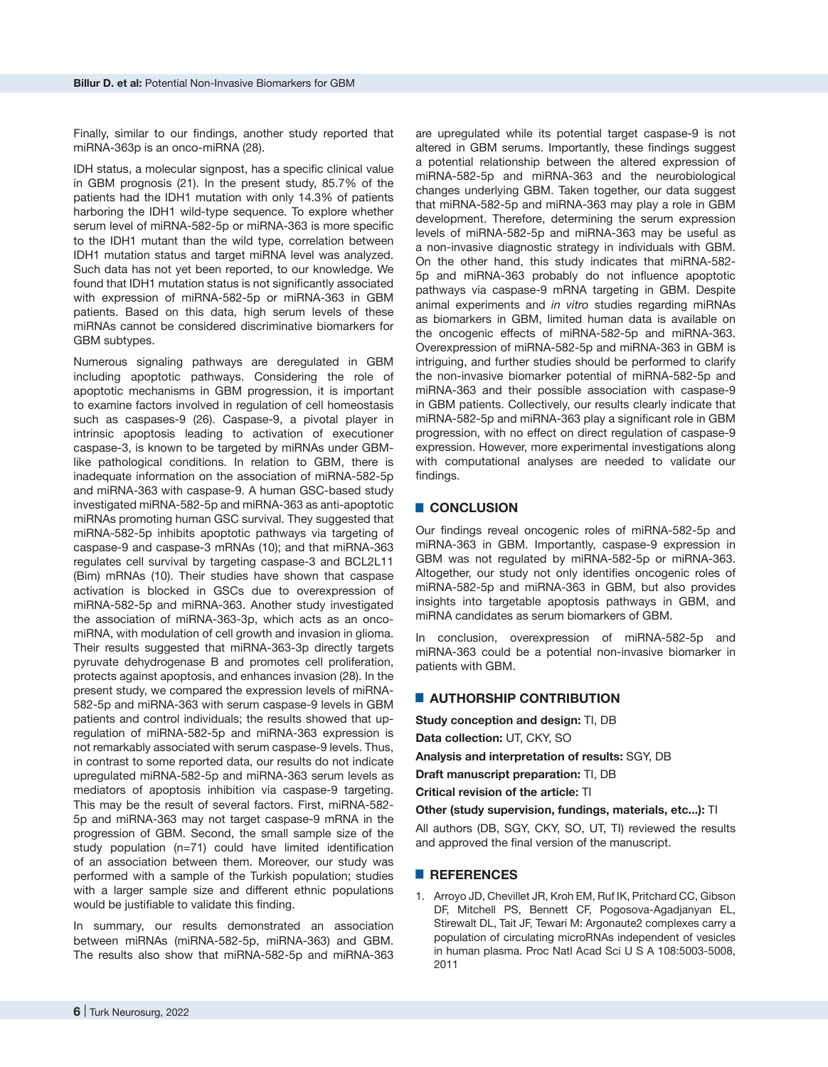Finally, similar to our findings, another study reported that miRNA-363p is an onco-miRNA (28).

IDH status, a molecular signpost, has a specific clinical value in GBM prognosis (21). In the present study, 85.7% of the patients had the IDH1 mutation with only 14.3% of patients harboring the IDH1 wild-type sequence. To explore whether serum level of miRNA-582-5p or miRNA-363 is more specific to the IDH1 mutant than the wild type, correlation between IDH1 mutation status and target miRNA level was analyzed. Such data has not yet been reported, to our knowledge. We found that IDH1 mutation status is not significantly associated with expression of miRNA-582-5p or miRNA-363 in GBM patients. Based on this data, high serum levels of these miRNAs cannot be considered discriminative biomarkers for GBM subtypes.

Numerous signaling pathways are deregulated in GBM including apoptotic pathways. Considering the role of apoptotic mechanisms in GBM progression, it is important to examine factors involved in regulation of cell homeostasis such as caspases-9 (26). Caspase-9, a pivotal player in intrinsic apoptosis leading to activation of executioner caspase-3, is known to be targeted by miRNAs under GBMlike pathological conditions. In relation to GBM, there is inadequate information on the association of miRNA-582-5p and miRNA-363 with caspase-9. A human GSC-based study investigated miRNA-582-5p and miRNA-363 as anti-apoptotic miRNAs promoting human GSC survival. They suggested that miRNA-582-5p inhibits apoptotic pathways via targeting of caspase-9 and caspase-3 mRNAs (10); and that miRNA-363 regulates cell survival by targeting caspase-3 and BCL2L11 (Bim) mRNAs (10). Their studies have shown that caspase activation is blocked in GSCs due to overexpression of miRNA-582-5p and miRNA-363. Another study investigated the association of miRNA-363-3p, which acts as an oncomiRNA, with modulation of cell growth and invasion in glioma. Their results suggested that miRNA-363-3p directly targets pyruvate dehydrogenase B and promotes cell proliferation, protects against apoptosis, and enhances invasion (28). In the present study, we compared the expression levels of miRNA-582-5p and miRNA-363 with serum caspase-9 levels in GBM patients and control individuals; the results showed that upregulation of miRNA-582-5p and miRNA-363 expression is not remarkably associated with serum caspase-9 levels. Thus, in contrast to some reported data, our results do not indicate upregulated miRNA-582-5p and miRNA-363 serum levels as mediators of apoptosis inhibition via caspase-9 targeting. This may be the result of several factors. First, miRNA-582- 5p and miRNA-363 may not target caspase-9 mRNA in the progression of GBM. Second, the small sample size of the study population (n=71) could have limited identification of an association between them. Moreover, our study was performed with a sample of the Turkish population; studies with a larger sample size and different ethnic populations would be justifiable to validate this finding.

In summary, our results demonstrated an association between miRNAs (miRNA-582-5p, miRNA-363) and GBM. The results also show that miRNA-582-5p and miRNA-363 are upregulated while its potential target caspase-9 is not altered in GBM serums. Importantly, these findings suggest a potential relationship between the altered expression of miRNA-582-5p and miRNA-363 and the neurobiological changes underlying GBM. Taken together, our data suggest that miRNA-582-5p and miRNA-363 may play a role in GBM development. Therefore, determining the serum expression levels of miRNA-582-5p and miRNA-363 may be useful as a non-invasive diagnostic strategy in individuals with GBM. On the other hand, this study indicates that miRNA-582- 5p and miRNA-363 probably do not influence apoptotic pathways via caspase-9 mRNA targeting in GBM. Despite animal experiments and *in vitro* studies regarding miRNAs as biomarkers in GBM, limited human data is available on the oncogenic effects of miRNA-582-5p and miRNA-363. Overexpression of miRNA-582-5p and miRNA-363 in GBM is intriguing, and further studies should be performed to clarify the non-invasive biomarker potential of miRNA-582-5p and miRNA-363 and their possible association with caspase-9 in GBM patients. Collectively, our results clearly indicate that miRNA-582-5p and miRNA-363 play a significant role in GBM progression, with no effect on direct regulation of caspase-9 expression. However, more experimental investigations along with computational analyses are needed to validate our findings.

## █ **CONCLUSION**

Our findings reveal oncogenic roles of miRNA-582-5p and miRNA-363 in GBM. Importantly, caspase-9 expression in GBM was not regulated by miRNA-582-5p or miRNA-363. Altogether, our study not only identifies oncogenic roles of miRNA-582-5p and miRNA-363 in GBM, but also provides insights into targetable apoptosis pathways in GBM, and miRNA candidates as serum biomarkers of GBM.

In conclusion, overexpression of miRNA-582-5p and miRNA-363 could be a potential non-invasive biomarker in patients with GBM.

## █ **AUTHORSHIP CONTRIBUTION**

**Study conception and design:** TI, DB **Data collection:** UT, CKY, SO

**Analysis and interpretation of results:** SGY, DB

**Draft manuscript preparation:** TI, DB

**Critical revision of the article:** TI

**Other (study supervision, fundings, materials, etc...):** TI

All authors (DB, SGY, CKY, SO, UT, TI) reviewed the results and approved the final version of the manuscript.

## █ **REFERENCES**

1. Arroyo JD, Chevillet JR, Kroh EM, Ruf IK, Pritchard CC, Gibson DF, Mitchell PS, Bennett CF, Pogosova-Agadjanyan EL, Stirewalt DL, Tait JF, Tewari M: Argonaute2 complexes carry a population of circulating microRNAs independent of vesicles in human plasma. Proc Natl Acad Sci U S A 108:5003-5008, 2011